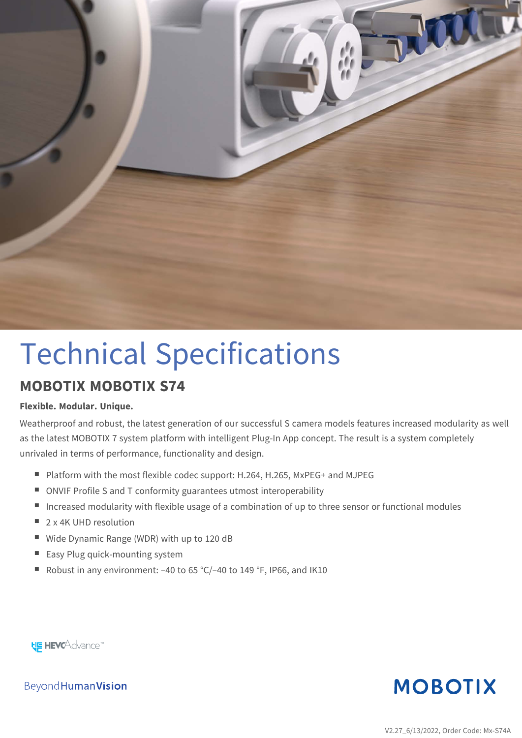

# Technical Specifications

#### **MOBOTIX MOBOTIX S74**

#### **Flexible. Modular. Unique.**

Weatherproof and robust, the latest generation of our successful S camera models features increased modularity as well as the latest MOBOTIX 7 system platform with intelligent Plug-In App concept. The result is a system completely unrivaled in terms of performance, functionality and design.

- Platform with the most flexible codec support: H.264, H.265, MxPEG+ and MJPEG
- ONVIF Profile S and T conformity guarantees utmost interoperability
- **n** Increased modularity with flexible usage of a combination of up to three sensor or functional modules
- $\Box$  2 x 4K UHD resolution
- Wide Dynamic Range (WDR) with up to 120 dB
- $\blacksquare$  Easy Plug quick-mounting system
- Robust in any environment:  $-40$  to 65 °C/-40 to 149 °F, IP66, and IK10

**HE HEVCAdvance** 

**MOBOTIX** 

Beyond Human Vision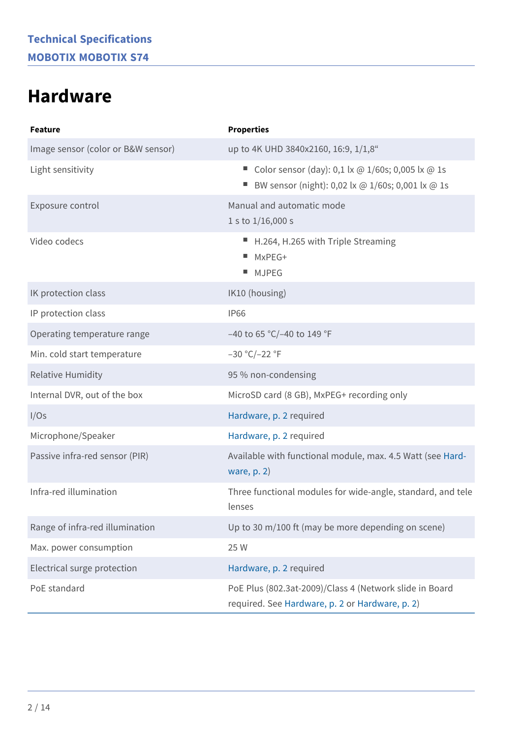### <span id="page-1-0"></span>**Hardware**

| <b>Feature</b>                     | <b>Properties</b>                                                                                          |
|------------------------------------|------------------------------------------------------------------------------------------------------------|
| Image sensor (color or B&W sensor) | up to 4K UHD 3840x2160, 16:9, 1/1,8"                                                                       |
| Light sensitivity                  | Color sensor (day): 0,1 lx @ 1/60s; 0,005 lx @ 1s<br>BW sensor (night): 0,02 lx @ 1/60s; 0,001 lx @ 1s     |
| Exposure control                   | Manual and automatic mode<br>1 s to $1/16,000$ s                                                           |
| Video codecs                       | ■ H.264, H.265 with Triple Streaming<br>$M \times PEG+$<br><b>MJPEG</b><br>ш                               |
| IK protection class                | IK10 (housing)                                                                                             |
| IP protection class                | <b>IP66</b>                                                                                                |
| Operating temperature range        | -40 to 65 °C/-40 to 149 °F                                                                                 |
| Min. cold start temperature        | $-30 °C/-22 °F$                                                                                            |
| <b>Relative Humidity</b>           | 95 % non-condensing                                                                                        |
| Internal DVR, out of the box       | MicroSD card (8 GB), MxPEG+ recording only                                                                 |
| I/Os                               | Hardware, p. 2 required                                                                                    |
| Microphone/Speaker                 | Hardware, p. 2 required                                                                                    |
| Passive infra-red sensor (PIR)     | Available with functional module, max. 4.5 Watt (see Hard-<br>ware, $p. 2$                                 |
| Infra-red illumination             | Three functional modules for wide-angle, standard, and tele<br>lenses                                      |
| Range of infra-red illumination    | Up to 30 m/100 ft (may be more depending on scene)                                                         |
| Max. power consumption             | 25 W                                                                                                       |
| Electrical surge protection        | Hardware, p. 2 required                                                                                    |
| PoE standard                       | PoE Plus (802.3at-2009)/Class 4 (Network slide in Board<br>required. See Hardware, p. 2 or Hardware, p. 2) |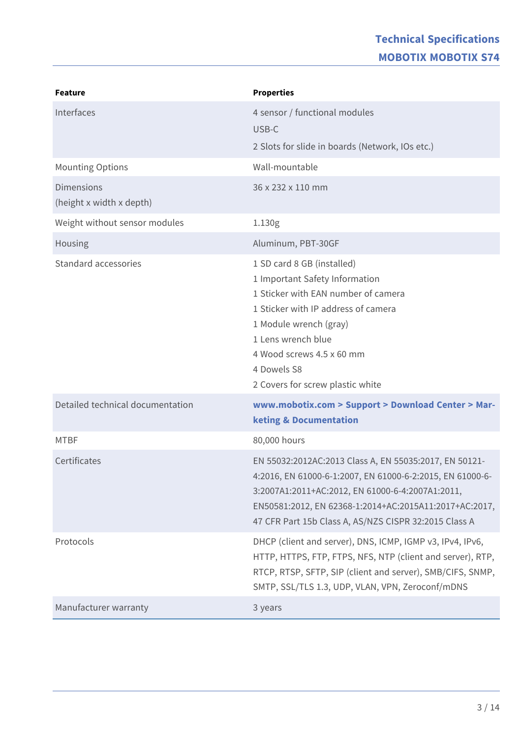#### **Technical Specifications MOBOTIX MOBOTIX S74**

| <b>Feature</b>                                | <b>Properties</b>                                                                                                                                                                                                                                                                          |
|-----------------------------------------------|--------------------------------------------------------------------------------------------------------------------------------------------------------------------------------------------------------------------------------------------------------------------------------------------|
| Interfaces                                    | 4 sensor / functional modules<br>USB-C                                                                                                                                                                                                                                                     |
|                                               | 2 Slots for slide in boards (Network, IOs etc.)                                                                                                                                                                                                                                            |
| <b>Mounting Options</b>                       | Wall-mountable                                                                                                                                                                                                                                                                             |
| <b>Dimensions</b><br>(height x width x depth) | 36 x 232 x 110 mm                                                                                                                                                                                                                                                                          |
| Weight without sensor modules                 | 1.130g                                                                                                                                                                                                                                                                                     |
| Housing                                       | Aluminum, PBT-30GF                                                                                                                                                                                                                                                                         |
| Standard accessories                          | 1 SD card 8 GB (installed)<br>1 Important Safety Information<br>1 Sticker with EAN number of camera<br>1 Sticker with IP address of camera<br>1 Module wrench (gray)<br>1 Lens wrench blue<br>4 Wood screws 4.5 x 60 mm<br>4 Dowels S8<br>2 Covers for screw plastic white                 |
| Detailed technical documentation              | www.mobotix.com > Support > Download Center > Mar-<br><b>keting &amp; Documentation</b>                                                                                                                                                                                                    |
| <b>MTBF</b>                                   | 80,000 hours                                                                                                                                                                                                                                                                               |
| Certificates                                  | EN 55032:2012AC:2013 Class A, EN 55035:2017, EN 50121-<br>4:2016, EN 61000-6-1:2007, EN 61000-6-2:2015, EN 61000-6-<br>3:2007A1:2011+AC:2012, EN 61000-6-4:2007A1:2011,<br>EN50581:2012, EN 62368-1:2014+AC:2015A11:2017+AC:2017,<br>47 CFR Part 15b Class A, AS/NZS CISPR 32:2015 Class A |
| Protocols                                     | DHCP (client and server), DNS, ICMP, IGMP v3, IPv4, IPv6,<br>HTTP, HTTPS, FTP, FTPS, NFS, NTP (client and server), RTP,<br>RTCP, RTSP, SFTP, SIP (client and server), SMB/CIFS, SNMP,<br>SMTP, SSL/TLS 1.3, UDP, VLAN, VPN, Zeroconf/mDNS                                                  |
| Manufacturer warranty                         | 3 years                                                                                                                                                                                                                                                                                    |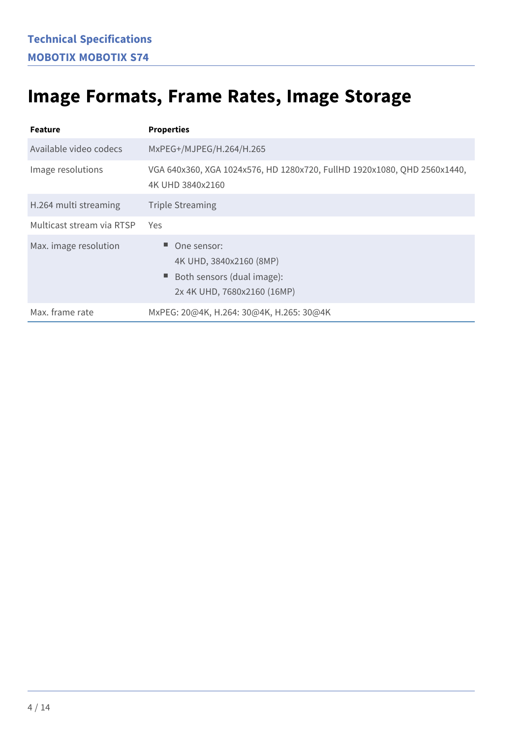### **Image Formats, Frame Rates, Image Storage**

| <b>Feature</b>            | <b>Properties</b>                                                                                   |
|---------------------------|-----------------------------------------------------------------------------------------------------|
| Available video codecs    | MxPEG+/MJPEG/H.264/H.265                                                                            |
| Image resolutions         | VGA 640x360, XGA 1024x576, HD 1280x720, FullHD 1920x1080, QHD 2560x1440,<br>4K UHD 3840x2160        |
| H.264 multi streaming     | <b>Triple Streaming</b>                                                                             |
| Multicast stream via RTSP | Yes                                                                                                 |
| Max. image resolution     | One sensor:<br>4K UHD, 3840x2160 (8MP)<br>Both sensors (dual image):<br>2x 4K UHD, 7680x2160 (16MP) |
| Max. frame rate           | MxPEG: 20@4K, H.264: 30@4K, H.265: 30@4K                                                            |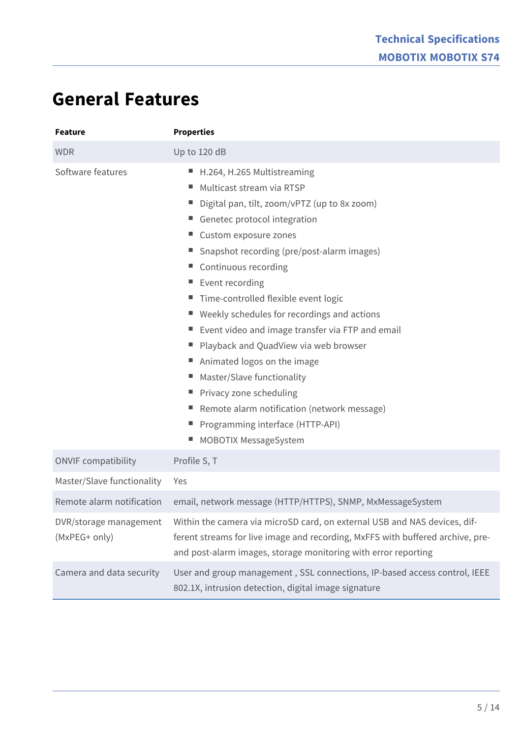### **General Features**

| <b>Feature</b>                          | <b>Properties</b>                                                                                                                                                                                                                                                                                                                                                                                                                                                                                                                                                                                                                                                          |
|-----------------------------------------|----------------------------------------------------------------------------------------------------------------------------------------------------------------------------------------------------------------------------------------------------------------------------------------------------------------------------------------------------------------------------------------------------------------------------------------------------------------------------------------------------------------------------------------------------------------------------------------------------------------------------------------------------------------------------|
| <b>WDR</b>                              | Up to 120 dB                                                                                                                                                                                                                                                                                                                                                                                                                                                                                                                                                                                                                                                               |
| Software features                       | ■ H.264, H.265 Multistreaming<br>Multicast stream via RTSP<br>ш,<br>Digital pan, tilt, zoom/vPTZ (up to 8x zoom)<br>Genetec protocol integration<br>■ Custom exposure zones<br>Snapshot recording (pre/post-alarm images)<br>■ Continuous recording<br>Event recording<br>н.<br>Time-controlled flexible event logic<br>■ Weekly schedules for recordings and actions<br>■ Event video and image transfer via FTP and email<br>Playback and QuadView via web browser<br>Animated logos on the image<br>Master/Slave functionality<br>■ Privacy zone scheduling<br>Remote alarm notification (network message)<br>Programming interface (HTTP-API)<br>MOBOTIX MessageSystem |
| <b>ONVIF compatibility</b>              | Profile S, T                                                                                                                                                                                                                                                                                                                                                                                                                                                                                                                                                                                                                                                               |
| Master/Slave functionality              | Yes                                                                                                                                                                                                                                                                                                                                                                                                                                                                                                                                                                                                                                                                        |
| Remote alarm notification               | email, network message (HTTP/HTTPS), SNMP, MxMessageSystem                                                                                                                                                                                                                                                                                                                                                                                                                                                                                                                                                                                                                 |
| DVR/storage management<br>(MxPEG+ only) | Within the camera via microSD card, on external USB and NAS devices, dif-<br>ferent streams for live image and recording, MxFFS with buffered archive, pre-<br>and post-alarm images, storage monitoring with error reporting                                                                                                                                                                                                                                                                                                                                                                                                                                              |
| Camera and data security                | User and group management, SSL connections, IP-based access control, IEEE<br>802.1X, intrusion detection, digital image signature                                                                                                                                                                                                                                                                                                                                                                                                                                                                                                                                          |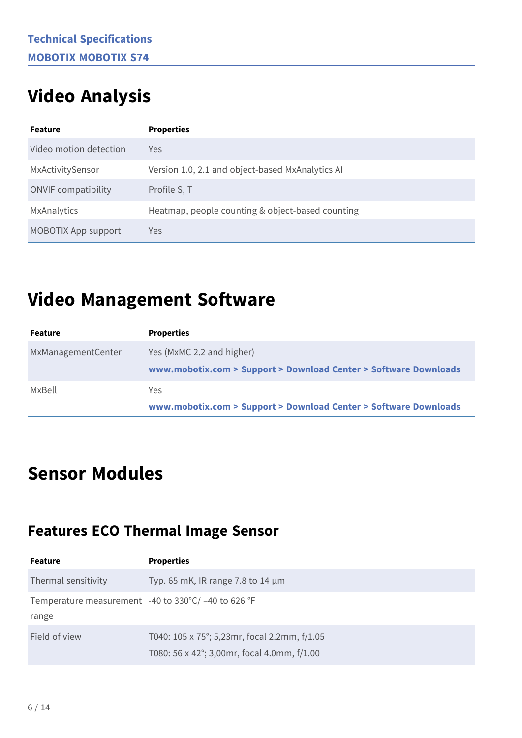### **Video Analysis**

| <b>Feature</b>             | <b>Properties</b>                                |
|----------------------------|--------------------------------------------------|
| Video motion detection     | Yes                                              |
| MxActivitySensor           | Version 1.0, 2.1 and object-based MxAnalytics AI |
| <b>ONVIF</b> compatibility | Profile S, T                                     |
| MxAnalytics                | Heatmap, people counting & object-based counting |
| <b>MOBOTIX App support</b> | Yes                                              |

### **Video Management Software**

| Feature            | <b>Properties</b>                                                                             |
|--------------------|-----------------------------------------------------------------------------------------------|
| MxManagementCenter | Yes (MxMC 2.2 and higher)<br>www.mobotix.com > Support > Download Center > Software Downloads |
| MxBell             | Yes.<br>www.mobotix.com > Support > Download Center > Software Downloads                      |

### **Sensor Modules**

#### **Features ECO Thermal Image Sensor**

| <b>Feature</b>                                                   | <b>Properties</b>                                                                           |
|------------------------------------------------------------------|---------------------------------------------------------------------------------------------|
| Thermal sensitivity                                              | Typ. 65 mK, IR range 7.8 to 14 $\mu$ m                                                      |
| Temperature measurement $-40$ to 330°C/ $-40$ to 626 °F<br>range |                                                                                             |
| Field of view                                                    | T040: 105 x 75°; 5,23mr, focal 2.2mm, f/1.05<br>T080: 56 x 42°; 3,00mr, focal 4.0mm, f/1.00 |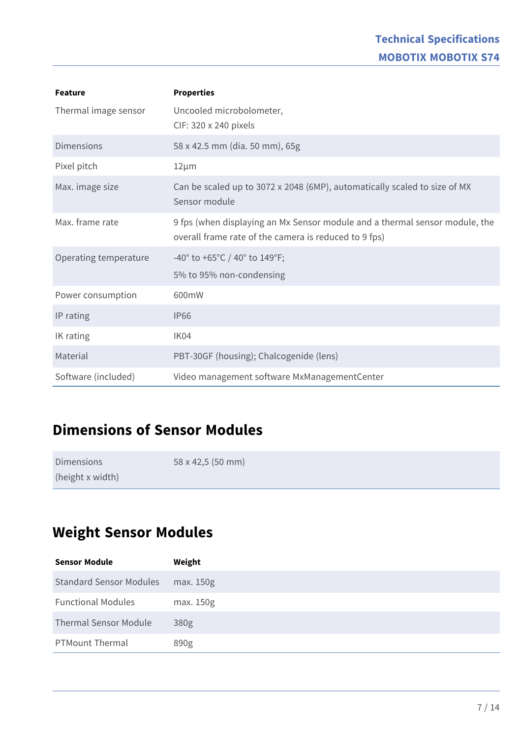| <b>Feature</b>        | <b>Properties</b>                                                                                                                    |
|-----------------------|--------------------------------------------------------------------------------------------------------------------------------------|
| Thermal image sensor  | Uncooled microbolometer,<br>CIF: 320 x 240 pixels                                                                                    |
| <b>Dimensions</b>     | 58 x 42.5 mm (dia. 50 mm), 65g                                                                                                       |
| Pixel pitch           | $12 \mu m$                                                                                                                           |
| Max. image size       | Can be scaled up to 3072 x 2048 (6MP), automatically scaled to size of MX<br>Sensor module                                           |
| Max. frame rate       | 9 fps (when displaying an Mx Sensor module and a thermal sensor module, the<br>overall frame rate of the camera is reduced to 9 fps) |
| Operating temperature | -40° to +65°C / 40° to 149°F;<br>5% to 95% non-condensing                                                                            |
| Power consumption     | 600mW                                                                                                                                |
| IP rating             | <b>IP66</b>                                                                                                                          |
| IK rating             | IK04                                                                                                                                 |
| Material              | PBT-30GF (housing); Chalcogenide (lens)                                                                                              |
| Software (included)   | Video management software MxManagementCenter                                                                                         |

#### **Dimensions of Sensor Modules**

| <b>Dimensions</b> | 58 x 42,5 (50 mm) |
|-------------------|-------------------|
| (height x width)  |                   |

#### **Weight Sensor Modules**

| <b>Sensor Module</b>           | Weight    |
|--------------------------------|-----------|
| <b>Standard Sensor Modules</b> | max. 150g |
| <b>Functional Modules</b>      | max. 150g |
| <b>Thermal Sensor Module</b>   | 380g      |
| <b>PTMount Thermal</b>         | 890g      |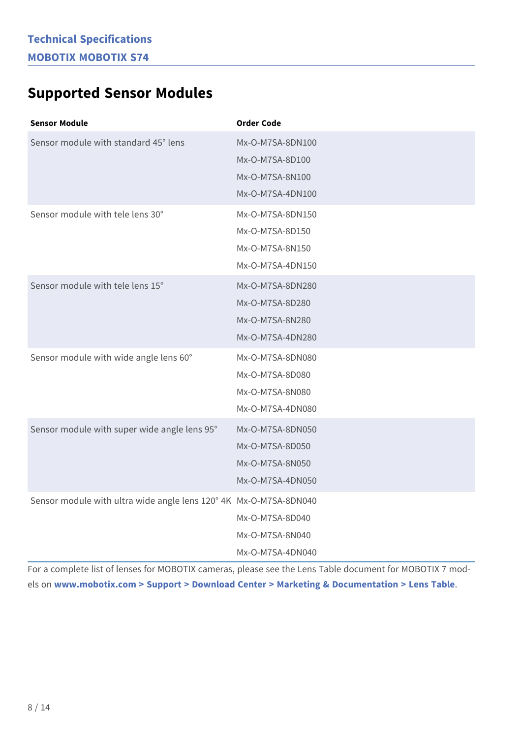#### **Supported Sensor Modules**

| <b>Sensor Module</b>                                              | <b>Order Code</b>                                                          |
|-------------------------------------------------------------------|----------------------------------------------------------------------------|
| Sensor module with standard 45° lens                              | Mx-O-M7SA-8DN100<br>Mx-O-M7SA-8D100<br>Mx-O-M7SA-8N100<br>Mx-O-M7SA-4DN100 |
| Sensor module with tele lens 30°                                  | Mx-O-M7SA-8DN150<br>Mx-O-M7SA-8D150<br>Mx-O-M7SA-8N150<br>Mx-O-M7SA-4DN150 |
| Sensor module with tele lens 15°                                  | Mx-O-M7SA-8DN280<br>Mx-O-M7SA-8D280<br>Mx-O-M7SA-8N280<br>Mx-O-M7SA-4DN280 |
| Sensor module with wide angle lens 60°                            | Mx-O-M7SA-8DN080<br>Mx-O-M7SA-8D080<br>Mx-O-M7SA-8N080<br>Mx-O-M7SA-4DN080 |
| Sensor module with super wide angle lens 95°                      | Mx-O-M7SA-8DN050<br>Mx-O-M7SA-8D050<br>Mx-O-M7SA-8N050<br>Mx-O-M7SA-4DN050 |
| Sensor module with ultra wide angle lens 120° 4K Mx-O-M7SA-8DN040 | Mx-O-M7SA-8D040<br>Mx-O-M7SA-8N040<br>Mx-O-M7SA-4DN040                     |

For a complete list of lenses for MOBOTIX cameras, please see the Lens Table document for MOBOTIX 7 models on **[www.mobotix.com > Support > Download Center > Marketing & Documentation > Lens Table](https://www.mobotix.com/support/download-center/documenation/lens-table)**.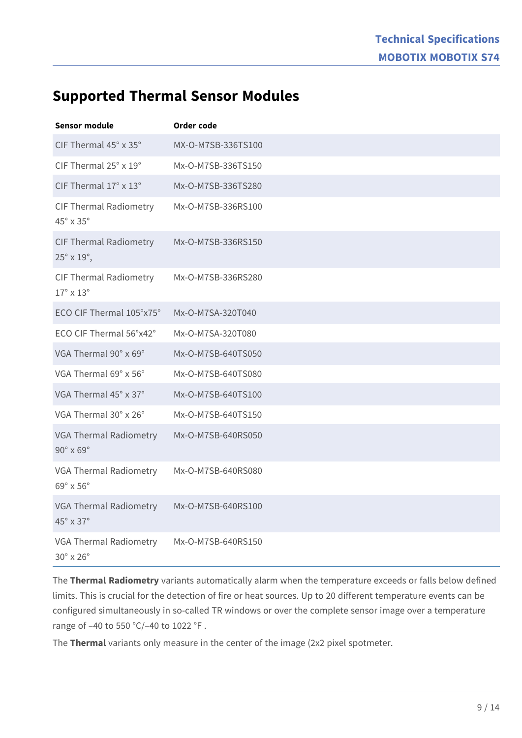#### **Supported Thermal Sensor Modules**

| <b>Sensor module</b>                                              | Order code         |
|-------------------------------------------------------------------|--------------------|
| CIF Thermal 45° x 35°                                             | MX-O-M7SB-336TS100 |
| CIF Thermal 25° x 19°                                             | Mx-O-M7SB-336TS150 |
| CIF Thermal 17° x 13°                                             | Mx-O-M7SB-336TS280 |
| <b>CIF Thermal Radiometry</b><br>$45^\circ \times 35^\circ$       | Mx-O-M7SB-336RS100 |
| <b>CIF Thermal Radiometry</b><br>$25^{\circ} \times 19^{\circ}$ , | Mx-O-M7SB-336RS150 |
| <b>CIF Thermal Radiometry</b><br>$17^\circ \times 13^\circ$       | Mx-O-M7SB-336RS280 |
| ECO CIF Thermal 105°x75°                                          | Mx-O-M7SA-320T040  |
| ECO CIF Thermal 56°x42°                                           | Mx-O-M7SA-320T080  |
| VGA Thermal 90° x 69°                                             | Mx-O-M7SB-640TS050 |
| VGA Thermal 69° x 56°                                             | Mx-O-M7SB-640TS080 |
| VGA Thermal 45° x 37°                                             | Mx-O-M7SB-640TS100 |
| VGA Thermal 30° x 26°                                             | Mx-O-M7SB-640TS150 |
| VGA Thermal Radiometry<br>$90^\circ \times 69^\circ$              | Mx-O-M7SB-640RS050 |
| VGA Thermal Radiometry<br>69° x 56°                               | Mx-O-M7SB-640RS080 |
| <b>VGA Thermal Radiometry</b><br>45° x 37°                        | Mx-O-M7SB-640RS100 |
| VGA Thermal Radiometry<br>30° x 26°                               | Mx-O-M7SB-640RS150 |

The **Thermal Radiometry** variants automatically alarm when the temperature exceeds or falls below defined limits. This is crucial for the detection of fire or heat sources. Up to 20 different temperature events can be configured simultaneously in so-called TR windows or over the complete sensor image over a temperature range of –40 to 550 °C/–40 to 1022 °F .

The **Thermal** variants only measure in the center of the image (2x2 pixel spotmeter.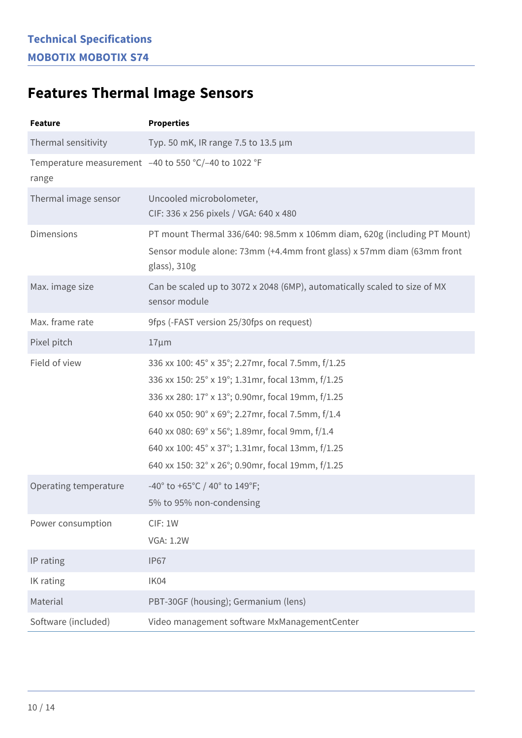### **Features Thermal Image Sensors**

| <b>Feature</b>        | <b>Properties</b>                                                                                                                                                                                                                                                                                                                                                              |
|-----------------------|--------------------------------------------------------------------------------------------------------------------------------------------------------------------------------------------------------------------------------------------------------------------------------------------------------------------------------------------------------------------------------|
| Thermal sensitivity   | Typ. 50 mK, IR range 7.5 to 13.5 μm                                                                                                                                                                                                                                                                                                                                            |
| range                 | Temperature measurement -40 to 550 °C/-40 to 1022 °F                                                                                                                                                                                                                                                                                                                           |
| Thermal image sensor  | Uncooled microbolometer,<br>CIF: 336 x 256 pixels / VGA: 640 x 480                                                                                                                                                                                                                                                                                                             |
| <b>Dimensions</b>     | PT mount Thermal 336/640: 98.5mm x 106mm diam, 620g (including PT Mount)<br>Sensor module alone: 73mm (+4.4mm front glass) x 57mm diam (63mm front<br>glass), 310g                                                                                                                                                                                                             |
| Max. image size       | Can be scaled up to 3072 x 2048 (6MP), automatically scaled to size of MX<br>sensor module                                                                                                                                                                                                                                                                                     |
| Max. frame rate       | 9fps (-FAST version 25/30fps on request)                                                                                                                                                                                                                                                                                                                                       |
| Pixel pitch           | $17 \mu m$                                                                                                                                                                                                                                                                                                                                                                     |
| Field of view         | 336 xx 100: 45° x 35°; 2.27mr, focal 7.5mm, f/1.25<br>336 xx 150: 25° x 19°; 1.31mr, focal 13mm, f/1.25<br>336 xx 280: 17° x 13°; 0.90mr, focal 19mm, f/1.25<br>640 xx 050: 90° x 69°; 2.27mr, focal 7.5mm, f/1.4<br>640 xx 080: 69° x 56°; 1.89mr, focal 9mm, f/1.4<br>640 xx 100: 45° x 37°; 1.31mr, focal 13mm, f/1.25<br>640 xx 150: 32° x 26°; 0.90mr, focal 19mm, f/1.25 |
| Operating temperature | -40° to +65°C / 40° to 149°F;<br>5% to 95% non-condensing                                                                                                                                                                                                                                                                                                                      |
| Power consumption     | CIF: 1W<br><b>VGA: 1.2W</b>                                                                                                                                                                                                                                                                                                                                                    |
| IP rating             | <b>IP67</b>                                                                                                                                                                                                                                                                                                                                                                    |
| IK rating             | IK04                                                                                                                                                                                                                                                                                                                                                                           |
| Material              | PBT-30GF (housing); Germanium (lens)                                                                                                                                                                                                                                                                                                                                           |
| Software (included)   | Video management software MxManagementCenter                                                                                                                                                                                                                                                                                                                                   |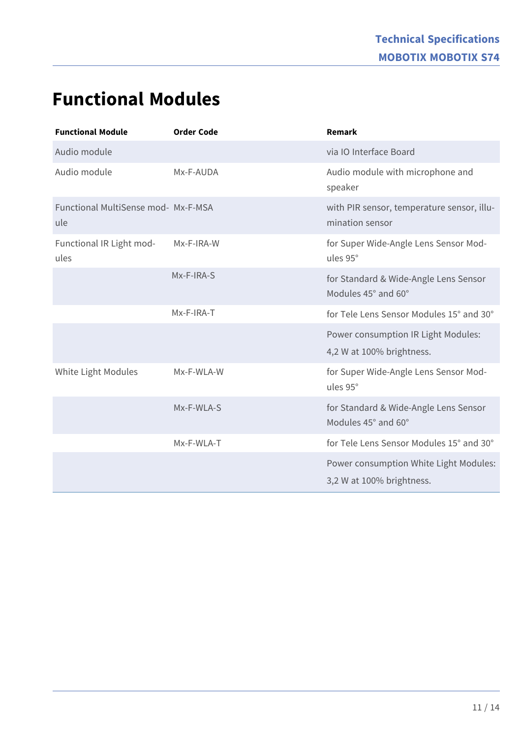### **Functional Modules**

| <b>Functional Module</b>                   | <b>Order Code</b> | Remark                                                              |
|--------------------------------------------|-------------------|---------------------------------------------------------------------|
| Audio module                               |                   | via IO Interface Board                                              |
| Audio module                               | Mx-F-AUDA         | Audio module with microphone and<br>speaker                         |
| Functional MultiSense mod- Mx-F-MSA<br>ule |                   | with PIR sensor, temperature sensor, illu-<br>mination sensor       |
| Functional IR Light mod-<br>ules           | Mx-F-IRA-W        | for Super Wide-Angle Lens Sensor Mod-<br>ules 95°                   |
|                                            | Mx-F-IRA-S        | for Standard & Wide-Angle Lens Sensor<br>Modules 45° and 60°        |
|                                            | Mx-F-IRA-T        | for Tele Lens Sensor Modules 15° and 30°                            |
|                                            |                   | Power consumption IR Light Modules:<br>4,2 W at 100% brightness.    |
| White Light Modules                        | Mx-F-WLA-W        | for Super Wide-Angle Lens Sensor Mod-<br>ules 95°                   |
|                                            | Mx-F-WLA-S        | for Standard & Wide-Angle Lens Sensor<br>Modules 45° and 60°        |
|                                            | Mx-F-WLA-T        | for Tele Lens Sensor Modules 15° and 30°                            |
|                                            |                   | Power consumption White Light Modules:<br>3,2 W at 100% brightness. |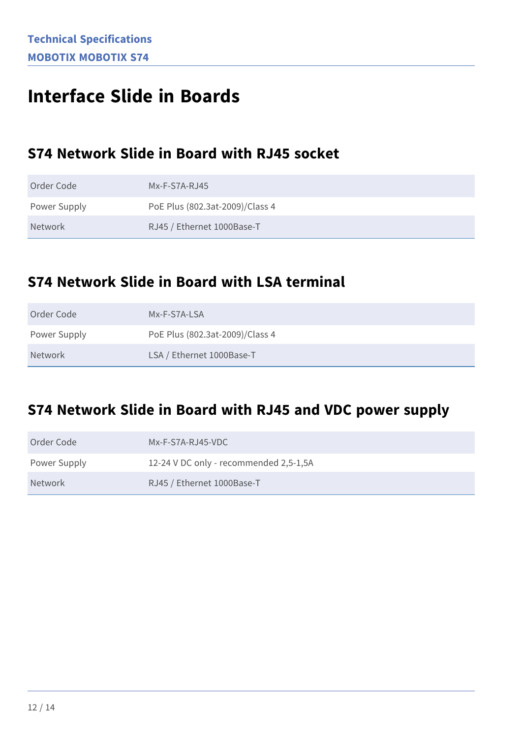### **Interface Slide in Boards**

#### **S74 Network Slide in Board with RJ45 socket**

| Order Code   | $Mx-F-S7A-RJ45$                 |
|--------------|---------------------------------|
| Power Supply | PoE Plus (802.3at-2009)/Class 4 |
| Network      | RJ45 / Ethernet 1000Base-T      |

#### **S74 Network Slide in Board with LSA terminal**

| Order Code   | Mx-F-S7A-LSA                    |
|--------------|---------------------------------|
| Power Supply | PoE Plus (802.3at-2009)/Class 4 |
| Network      | LSA / Ethernet 1000Base-T       |

#### **S74 Network Slide in Board with RJ45 and VDC power supply**

| Order Code   | Mx-F-S7A-RJ45-VDC                      |
|--------------|----------------------------------------|
| Power Supply | 12-24 V DC only - recommended 2,5-1,5A |
| Network      | RJ45 / Ethernet 1000Base-T             |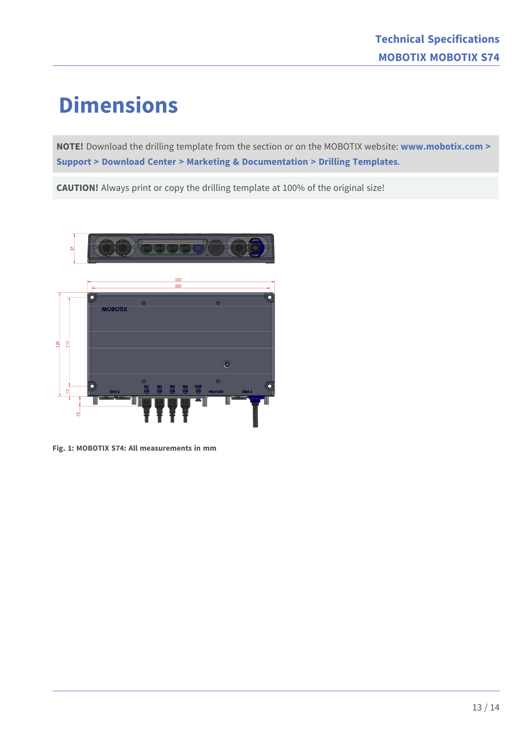## **Dimensions**

**NOTE!** Download the drilling template from the section or on the MOBOTIX website: **[www.mobotix.com >](https://www.mobotix.com/drilling-templates)  [Support > Download Center > Marketing & Documentation > Drilling Templates](https://www.mobotix.com/drilling-templates)**.

**CAUTION!** Always print or copy the drilling template at 100% of the original size!



**Fig. 1: MOBOTIX S74: All measurements in mm**